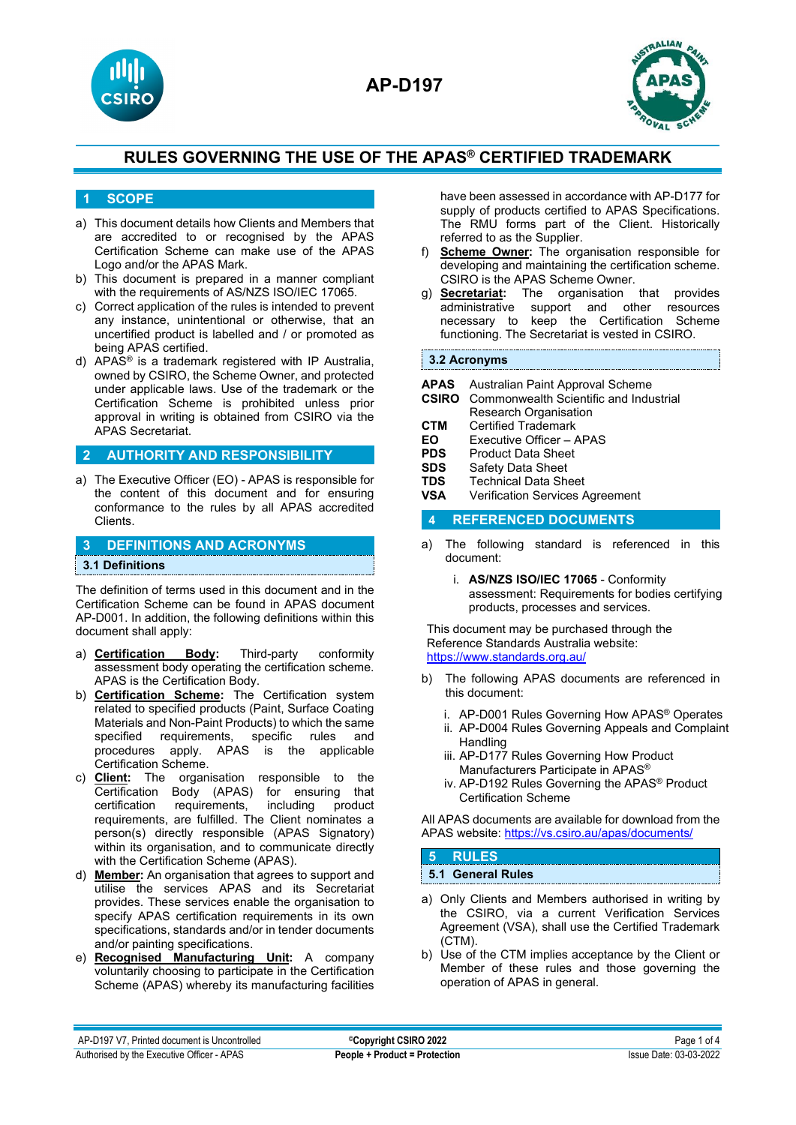



#### **1 SCOPE**

- a) This document details how Clients and Members that are accredited to or recognised by the APAS Certification Scheme can make use of the APAS Logo and/or the APAS Mark.
- b) This document is prepared in a manner compliant with the requirements of AS/NZS ISO/IEC 17065.
- c) Correct application of the rules is intended to prevent any instance, unintentional or otherwise, that an uncertified product is labelled and / or promoted as being APAS certified.
- d) APAS® is a trademark registered with IP Australia, owned by CSIRO, the Scheme Owner, and protected under applicable laws. Use of the trademark or the Certification Scheme is prohibited unless prior approval in writing is obtained from CSIRO via the APAS Secretariat.

#### **2 AUTHORITY AND RESPONSIBILITY**

a) The Executive Officer (EO) - APAS is responsible for the content of this document and for ensuring conformance to the rules by all APAS accredited Clients.

### **3 DEFINITIONS AND ACRONYMS 3.1 Definitions**

The definition of terms used in this document and in the Certification Scheme can be found in APAS document AP-D001. In addition, the following definitions within this document shall apply:

- a) **Certification Body:** Third-party conformity assessment body operating the certification scheme. APAS is the Certification Body.
- b) **Certification Scheme:** The Certification system related to specified products (Paint, Surface Coating Materials and Non-Paint Products) to which the same specified requirements, specific rules and procedures apply. APAS is the applicable Certification Scheme.
- c) **Client:** The organisation responsible to the Certification Body (APAS) for ensuring that certification requirements, including product requirements, are fulfilled. The Client nominates a person(s) directly responsible (APAS Signatory) within its organisation, and to communicate directly with the Certification Scheme (APAS).
- d) **Member:** An organisation that agrees to support and utilise the services APAS and its Secretariat provides. These services enable the organisation to specify APAS certification requirements in its own specifications, standards and/or in tender documents and/or painting specifications.
- e) **Recognised Manufacturing Unit:** A company voluntarily choosing to participate in the Certification Scheme (APAS) whereby its manufacturing facilities

have been assessed in accordance with AP-D177 for supply of products certified to APAS Specifications. The RMU forms part of the Client. Historically referred to as the Supplier.

- f) **Scheme Owner:** The organisation responsible for developing and maintaining the certification scheme. CSIRO is the APAS Scheme Owner.
- g) **Secretariat:** The organisation that provides administrative support and other resources necessary to keep the Certification Scheme functioning. The Secretariat is vested in CSIRO.

#### **3.2 Acronyms**

- **APAS** Australian Paint Approval Scheme
- **CSIRO** Commonwealth Scientific and Industrial Research Organisation
- **CTM** Certified Trademark<br>**EO** Executive Officer /
- **EO** Executive Officer APAS
- **PDS** Product Data Sheet<br>**SDS** Safety Data Sheet
- **SDS** Safety Data Sheet<br> **TDS** Technical Data Sh
- **TDS** Technical Data Sheet<br>**VSA** Verification Services A
- **Verification Services Agreement**

#### **4 REFERENCED DOCUMENTS**

- a) The following standard is referenced in this document:
	- i. **AS/NZS ISO/IEC 17065** Conformity assessment: Requirements for bodies certifying products, processes and services.

This document may be purchased through the Reference Standards Australia website: <https://www.standards.org.au/>

- b) The following APAS documents are referenced in this document:
	- i. AP-D001 Rules Governing How APAS® Operates
	- ii. AP-D004 Rules Governing Appeals and Complaint Handling
	- iii. AP-D177 Rules Governing How Product Manufacturers Participate in APAS®
	- iv. AP-D192 Rules Governing the APAS® Product Certification Scheme

All APAS documents are available for download from the APAS website:<https://vs.csiro.au/apas/documents/>

#### **5 RULES 5.1 General Rules**

- a) Only Clients and Members authorised in writing by the CSIRO, via a current Verification Services Agreement (VSA), shall use the Certified Trademark (CTM).
- b) Use of the CTM implies acceptance by the Client or Member of these rules and those governing the operation of APAS in general.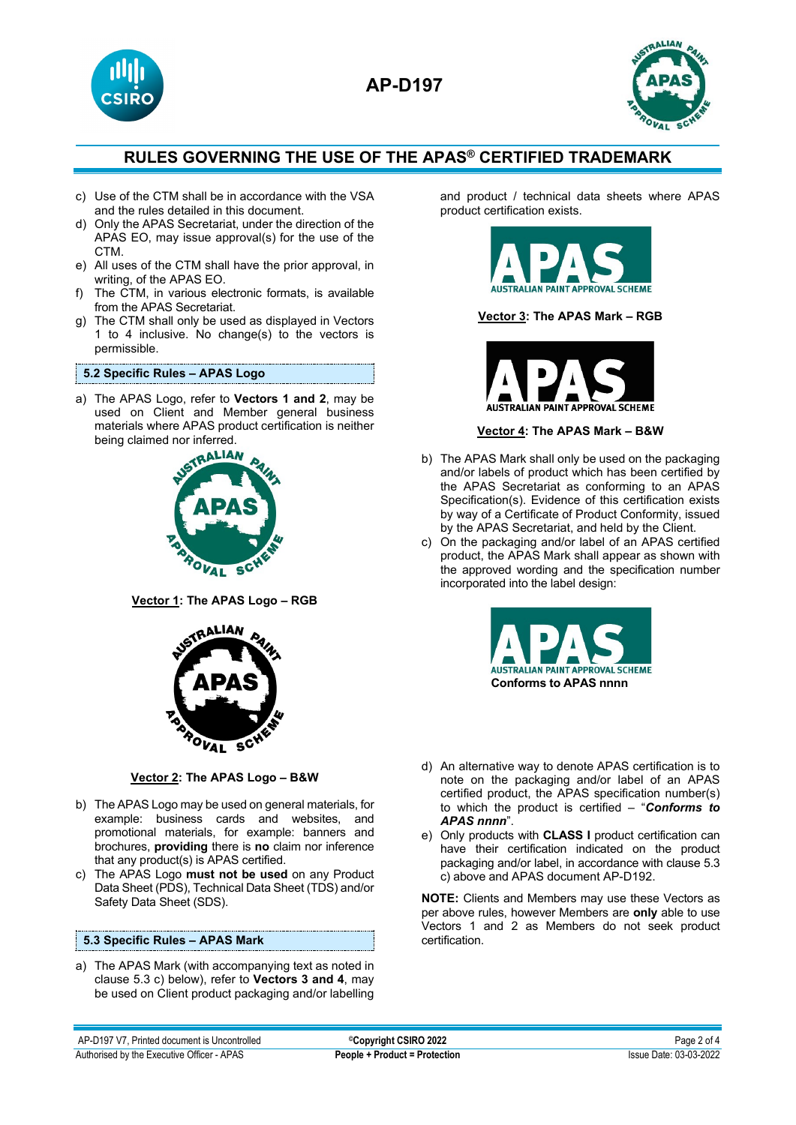



- c) Use of the CTM shall be in accordance with the VSA and the rules detailed in this document.
- d) Only the APAS Secretariat, under the direction of the APAS EO, may issue approval(s) for the use of the CTM.
- e) All uses of the CTM shall have the prior approval, in writing, of the APAS EO.
- f) The CTM, in various electronic formats, is available from the APAS Secretariat.
- g) The CTM shall only be used as displayed in Vectors 1 to 4 inclusive. No change(s) to the vectors is permissible.

#### **5.2 Specific Rules – APAS Logo**

a) The APAS Logo, refer to **Vectors 1 and 2**, may be used on Client and Member general business materials where APAS product certification is neither being claimed nor inferred.<br> **RALIAN** 



**Vector 1: The APAS Logo – RGB**



**Vector 2: The APAS Logo – B&W**

- b) The APAS Logo may be used on general materials, for example: business cards and websites, and promotional materials, for example: banners and brochures, **providing** there is **no** claim nor inference that any product(s) is APAS certified.
- c) The APAS Logo **must not be used** on any Product Data Sheet (PDS), Technical Data Sheet (TDS) and/or Safety Data Sheet (SDS).

#### **5.3 Specific Rules – APAS Mark**

a) The APAS Mark (with accompanying text as noted in clause 5.3 c) below), refer to **Vectors 3 and 4**, may be used on Client product packaging and/or labelling and product / technical data sheets where APAS product certification exists.



#### **Vector 3: The APAS Mark – RGB**



#### **Vector 4: The APAS Mark – B&W**

- b) The APAS Mark shall only be used on the packaging and/or labels of product which has been certified by the APAS Secretariat as conforming to an APAS Specification(s). Evidence of this certification exists by way of a Certificate of Product Conformity, issued by the APAS Secretariat, and held by the Client.
- c) On the packaging and/or label of an APAS certified product, the APAS Mark shall appear as shown with the approved wording and the specification number incorporated into the label design:



- d) An alternative way to denote APAS certification is to note on the packaging and/or label of an APAS certified product, the APAS specification number(s) to which the product is certified – "*Conforms to APAS nnnn*".
- e) Only products with **CLASS I** product certification can have their certification indicated on the product packaging and/or label, in accordance with clause 5.3 c) above and APAS document AP-D192.

**NOTE:** Clients and Members may use these Vectors as per above rules, however Members are **only** able to use Vectors 1 and 2 as Members do not seek product certification.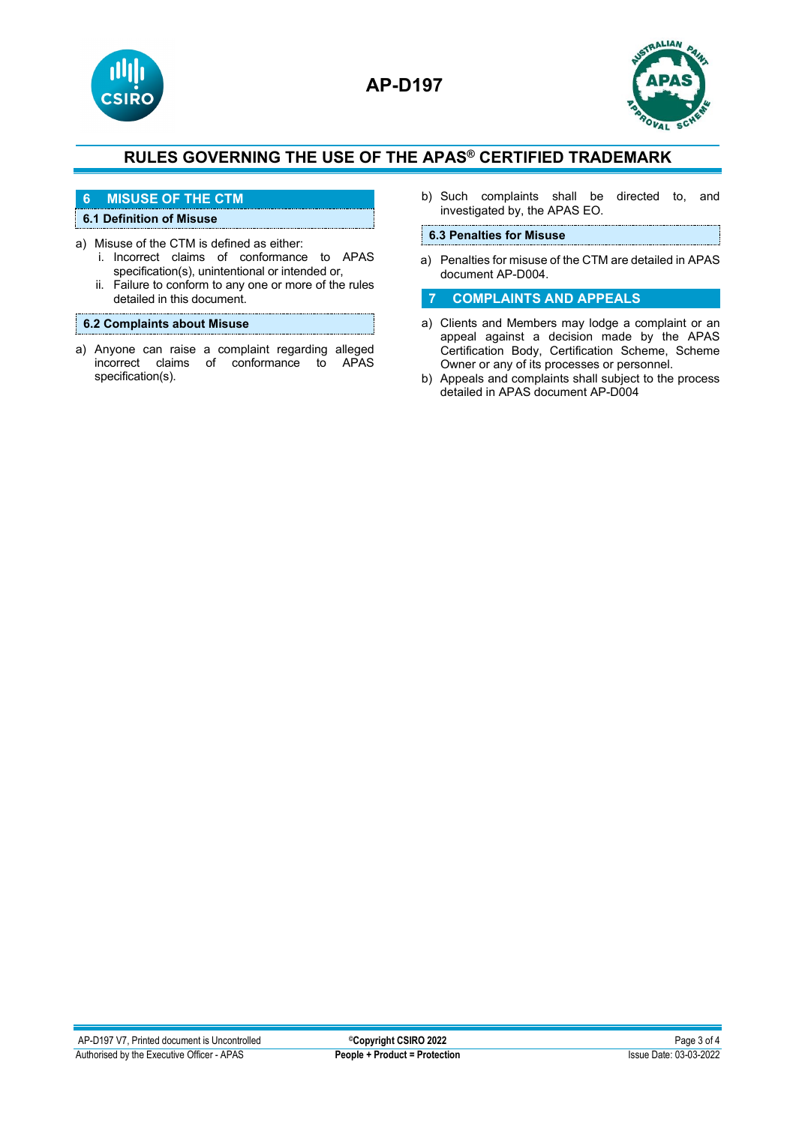



### **6 MISUSE OF THE CTM**

### **6.1 Definition of Misuse**

- a) Misuse of the CTM is defined as either:
	- i. Incorrect claims of conformance to APAS specification(s), unintentional or intended or,
	- ii. Failure to conform to any one or more of the rules detailed in this document.

#### **6.2 Complaints about Misuse**

a) Anyone can raise a complaint regarding alleged incorrect claims of conformance to APAS specification(s).

b) Such complaints shall be directed to, and investigated by, the APAS EO.

#### **6.3 Penalties for Misuse**

a) Penalties for misuse of the CTM are detailed in APAS document AP-D004.

#### **7 COMPLAINTS AND APPEALS**

- a) Clients and Members may lodge a complaint or an appeal against a decision made by the APAS Certification Body, Certification Scheme, Scheme Owner or any of its processes or personnel.
- b) Appeals and complaints shall subject to the process detailed in APAS document AP-D004